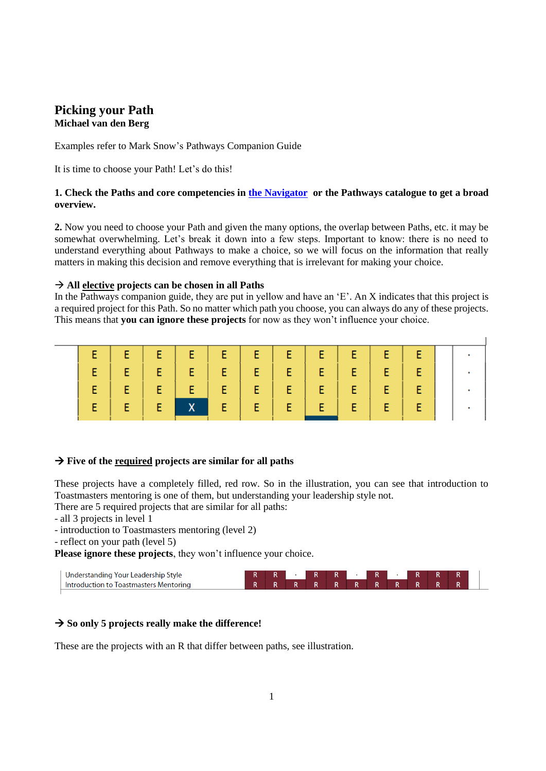# **Picking your Path Michael van den Berg**

Examples refer to Mark Snow's Pathways Companion Guide

It is time to choose your Path! Let's do this!

## **1. Check the Paths and core competencies in [the Navigator](https://www.toastmasters.org/the-navigator) or the Pathways catalogue to get a broad overview.**

**2.** Now you need to choose your Path and given the many options, the overlap between Paths, etc. it may be somewhat overwhelming. Let's break it down into a few steps. Important to know: there is no need to understand everything about Pathways to make a choice, so we will focus on the information that really matters in making this decision and remove everything that is irrelevant for making your choice.

### **All elective projects can be chosen in all Paths**

In the Pathways companion guide, they are put in yellow and have an 'E'. An X indicates that this project is a required project for this Path. So no matter which path you choose, you can always do any of these projects. This means that **you can ignore these projects** for now as they won't influence your choice.

## **Five of the required projects are similar for all paths**

These projects have a completely filled, red row. So in the illustration, you can see that introduction to Toastmasters mentoring is one of them, but understanding your leadership style not.

There are 5 required projects that are similar for all paths:

- all 3 projects in level 1
- introduction to Toastmasters mentoring (level 2)
- reflect on your path (level 5)

**Please ignore these projects**, they won't influence your choice.



# → So only 5 projects really make the difference!

These are the projects with an R that differ between paths, see illustration.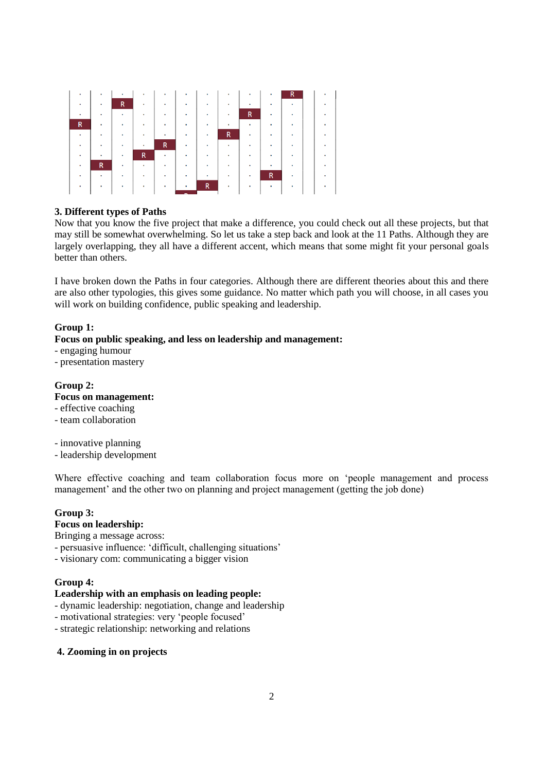

### **3. Different types of Paths**

Now that you know the five project that make a difference, you could check out all these projects, but that may still be somewhat overwhelming. So let us take a step back and look at the 11 Paths. Although they are largely overlapping, they all have a different accent, which means that some might fit your personal goals better than others.

I have broken down the Paths in four categories. Although there are different theories about this and there are also other typologies, this gives some guidance. No matter which path you will choose, in all cases you will work on building confidence, public speaking and leadership.

### **Group 1:**

## **Focus on public speaking, and less on leadership and management:**

- engaging humour

- presentation mastery

## **Group 2:**

## **Focus on management:**

- effective coaching

- team collaboration

- innovative planning

- leadership development

Where effective coaching and team collaboration focus more on 'people management and process management' and the other two on planning and project management (getting the job done)

### **Group 3:**

#### **Focus on leadership:**

Bringing a message across:

- persuasive influence: 'difficult, challenging situations'
- visionary com: communicating a bigger vision

#### **Group 4:**

### **Leadership with an emphasis on leading people:**

- dynamic leadership: negotiation, change and leadership
- motivational strategies: very 'people focused'
- strategic relationship: networking and relations

### **4. Zooming in on projects**